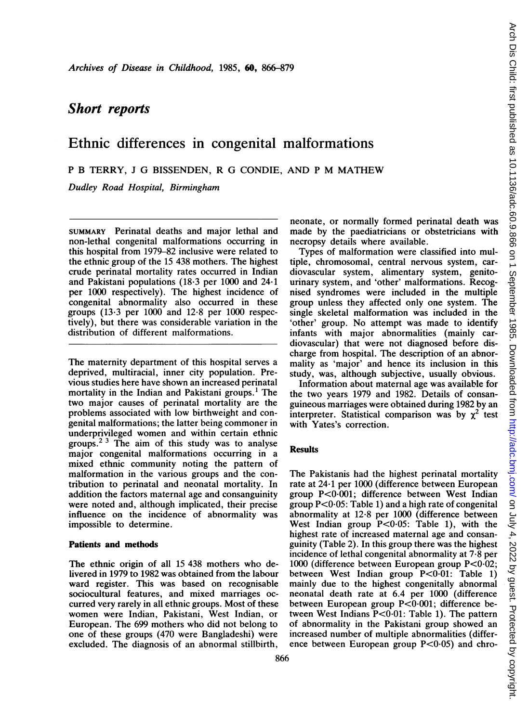# Short reports

## Ethnic differences in congenital malformations

<sup>P</sup> B TERRY, <sup>J</sup> G BISSENDEN, R G CONDIE, AND <sup>P</sup> M MATHEW

Dudley Road Hospital, Birmingham

SUMMARY Perinatal deaths and major lethal and non-lethal congenital malformations occurring in this hospital from 1979-82 inclusive were related to the ethnic group of the 15 438 mothers. The highest crude perinatal mortality rates occurred in Indian and Pakistani populations (18-3 per 1000 and 24-1 per 1000 respectively). The highest incidence of congenital abnormality also occurred in these groups (13.3 per 1000 and 12.8 per 1000 respectively), but there was considerable variation in the distribution of different malformations.

The maternity department of this hospital serves a deprived, multiracial, inner city population. Previous studies here have shown an increased perinatal mortality in the Indian and Pakistani groups.' The two major causes of perinatal mortality are the problems associated with low birthweight and congenital malformations; the latter being commoner in underprivileged women and within certain ethnic groups.2 <sup>3</sup> The aim of this study was to analyse major congenital malformations occurring in a mixed ethnic community noting the pattern of malformation in the various groups and the contribution to perinatal and neonatal mortality. In addition the factors maternal age and consanguinity were noted and, although implicated, their precise influence on the incidence of abnormality was impossible to determine.

### Patients and methods

The ethnic origin of all 15 438 mothers who delivered in 1979 to 1982 was obtained from the labour ward register. This was based on recognisable sociocultural features, and mixed marriages occurred very rarely in all ethnic groups. Most of these women were Indian, Pakistani, West Indian, or European. The 699 mothers who did not belong to one of these groups (470 were Bangladeshi) were excluded. The diagnosis of an abnormal stillbirth,

neonate, or normally formed perinatal death was made by the paediatricians or obstetricians with necropsy details where available.

Types of malformation were classified into multiple, chromosomal, central nervous system, cardiovascular system, alimentary system, genitourinary system, and 'other' malformations. Recognised syndromes were included in the multiple group unless they affected only one system. The single skeletal malformation was included in the 'other' group. No attempt was made to identify infants with major abnormalities (mainly cardiovascular) that were not diagnosed before discharge from hospital. The description of an abnormality as 'major' and hence its inclusion in this study, was, although subjective, usually obvious.

Information about maternal age was available for the two years 1979 and 1982. Details of consanguineous marriages were obtained during 1982 by an interpreter. Statistical comparison was by  $\chi^2$  test with Yates's correction.

### Results

The Pakistanis had the highest perinatal mortality rate at 24-1 per 1000 (difference between European group P<0-001; difference between West Indian group  $P < 0.05$ : Table 1) and a high rate of congenital abnormality at 12-8 per 1000 (difference between West Indian group P<0-05: Table 1), with the highest rate of increased maternal age and consanguinity (Table 2). In this group there was the highest incidence of lethal congenital abnormality at 7-8 per 1000 (difference between European group P<0-02; between West Indian group P<0-01: Table 1) mainly due to the highest congenitally abnormal neonatal death rate at 6.4 per 1000 (difference between European group P<0-001; difference between West Indians  $P<0.01$ : Table 1). The pattern of abnormality in the Pakistani group showed an increased number of multiple abnormalities (difference between European group  $P < 0.05$ ) and chro-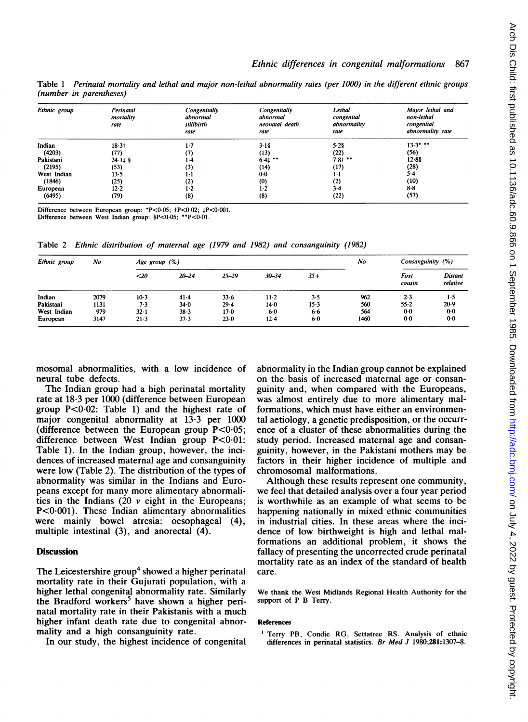Table 1 Perinatal mortality and lethal and major non-lethal abnormality rates (per 1000) in the different ethnic groups (number in parentheses)

| Ethnic group | Perinatal<br>mortality<br>rate | Congenitally<br>abnormal<br>stillbirth<br>rate | Congenitally<br>abnormal<br>neonatal death<br>rate | Lethal<br>congenital<br>abnormality<br>rate | Major lethal and<br>non-lethal<br>congenital<br>abnormality rate |  |
|--------------|--------------------------------|------------------------------------------------|----------------------------------------------------|---------------------------------------------|------------------------------------------------------------------|--|
| Indian       | $18.3 +$                       | $1-7$                                          | $3-18$                                             | 5.28                                        | $13.3$ * **                                                      |  |
| (4203)       | (77)                           | (7)                                            | (13)                                               | (22)                                        | (56)                                                             |  |
| Pakistani    | $24.11$ \$                     | $1-4$                                          | $6.4$ $**$                                         | $7.8 + $                                    | 12.85                                                            |  |
| (2195)       | (53)                           | (3)                                            | (14)                                               | (17)                                        | (28)                                                             |  |
| West Indian  | 13.5                           | $1 \cdot 1$                                    | $0-0$                                              | $1-1$                                       | $5-4$                                                            |  |
| (1846)       | (25)                           | (2)                                            | (0)                                                | (2)                                         | (10)                                                             |  |
| European     | $12 - 2$                       | $1-2$                                          | $1-2$                                              | 3.4                                         | $8-8$                                                            |  |
| (6495)       | (79)                           | (8)                                            | (8)                                                | (22)                                        | (57)                                                             |  |

Difference between European group: \*P<0 05; tP<0-02; tP<0-001.

Difference between West Indian group: §P<0-05; \*\*P<0-01.

Table 2 Ethnic distribution of maternal age (1979 and 1982) and consanguinity (1982)

| Ethnic group | No   | Age group $(\%)$ |           |           |           |        | No   | Consanguinity (%) |                     |
|--------------|------|------------------|-----------|-----------|-----------|--------|------|-------------------|---------------------|
|              |      | $20$             | $20 - 24$ | $25 - 29$ | $30 - 34$ | $35+$  |      | First<br>cousin   | Distant<br>relative |
| Indian       | 2079 | $10-3$           | $41 - 4$  | $33 - 6$  | $11-2$    | 3.5    | 962  | 2.3               | 1.5                 |
| Pakistani    | 1131 | 7.3              | $34 - 0$  | 29.4      | $14-0$    | $15-3$ | 560  | $55 - 2$          | $20-9$              |
| West Indian  | 979  | $32 - 1$         | $38 - 3$  | 17-0      | $6 - 0$   | 6.6    | 564  | $0-0$             | $0-0$               |
| European     | 3147 | 21.3             | 37.3      | $23-0$    | $12 - 4$  | $6-0$  | 1460 | $0 - 0$           | $0-0$               |

mosomal abnormalities, with a low incidence of neural tube defects.

The Indian group had a high perinatal mortality rate at 18\*3 per 1000 (difference between European group  $P < 0.02$ : Table 1) and the highest rate of major congenital abnormality at 13-3 per 1000 (difference between the European group  $P < 0.05$ ; difference between West Indian group P<0.01: Table 1). In the Indian group, however, the incidences of increased maternal age and consanguinity were low (Table 2). The distribution of the types of abnormality was similar in the Indians and Europeans except for many more alimentary abnormalities in the Indians (20  $\nu$  eight in the Europeans; P<0.001). These Indian alimentary abnormalities were mainly bowel atresia: oesophageal (4), multiple intestinal  $(3)$ , and anorectal  $(4)$ .

#### **Discussion**

The Leicestershire group<sup>4</sup> showed a higher perinatal mortality rate in their Gujurati population, with a higher lethal congenital abnormality rate. Similarly the Bradford workers<sup>5</sup> have shown a higher perinatal mortality rate in their Pakistanis with a much higher infant death rate due to congenital abnormality and a high consanguinity rate.

In our study, the highest incidence of congenital

abnormality in the Indian group cannot be explained on the basis of increased maternal age or consanguinity and, when compared with the Europeans, was almost entirely due to more alimentary malformations, which must have either an environmental aetiology, a genetic predisposition, or the occurrence of a cluster of these abnormalities during the study period. Increased maternal age and consanguinity, however, in the Pakistani mothers may be factors in their higher incidence of multiple and chromosomal malformations.

Although these results represent one community, we feel that detailed analysis over a four year period is worthwhile as an example of what seems to be happening nationally in mixed ethnic communities in industrial cities. In these areas where the incidence of low birthweight is high and lethal malformations an additional problem, it shows the fallacy of presenting the uncorrected crude perinatal mortality rate as an index of the standard of health care.

We thank the West Midlands Regional Health Authority for the support of P B Terry.

#### References

<sup>1</sup> Terry PB, Condie RG, Settatree RS. Analysis of ethnic differences in perinatal statistics. Br Med J 1980;281:1307-8.